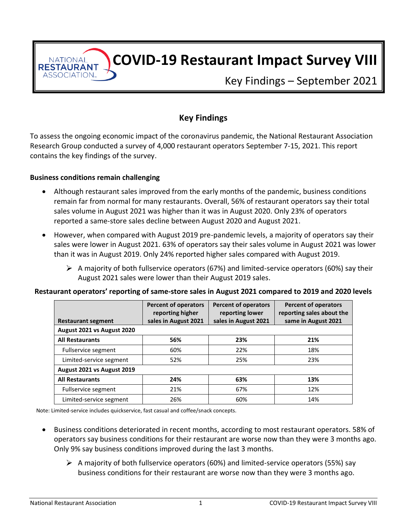**COVID-19 Restaurant Impact Survey VIII**

Key Findings – September 2021

# **Key Findings**

To assess the ongoing economic impact of the coronavirus pandemic, the National Restaurant Association Research Group conducted a survey of 4,000 restaurant operators September 7-15, 2021. This report contains the key findings of the survey.

#### **Business conditions remain challenging**

**NATIONAL RESTAURANT** ASSOCIATION.

- Although restaurant sales improved from the early months of the pandemic, business conditions remain far from normal for many restaurants. Overall, 56% of restaurant operators say their total sales volume in August 2021 was higher than it was in August 2020. Only 23% of operators reported a same-store sales decline between August 2020 and August 2021.
- However, when compared with August 2019 pre-pandemic levels, a majority of operators say their sales were lower in August 2021. 63% of operators say their sales volume in August 2021 was lower than it was in August 2019. Only 24% reported higher sales compared with August 2019.
	- $\triangleright$  A majority of both fullservice operators (67%) and limited-service operators (60%) say their August 2021 sales were lower than their August 2019 sales.

#### **Restaurant operators' reporting of same-store sales in August 2021 compared to 2019 and 2020 levels**

|                            | <b>Percent of operators</b><br>reporting higher | <b>Percent of operators</b><br>reporting lower | <b>Percent of operators</b><br>reporting sales about the |
|----------------------------|-------------------------------------------------|------------------------------------------------|----------------------------------------------------------|
| <b>Restaurant segment</b>  | sales in August 2021                            | sales in August 2021                           | same in August 2021                                      |
| August 2021 vs August 2020 |                                                 |                                                |                                                          |
| <b>All Restaurants</b>     | 56%                                             | 23%                                            | 21%                                                      |
| Fullservice segment        | 60%                                             | 22%                                            | 18%                                                      |
| Limited-service segment    | 52%                                             | 25%                                            | 23%                                                      |
| August 2021 vs August 2019 |                                                 |                                                |                                                          |
| <b>All Restaurants</b>     | 24%                                             | 63%                                            | 13%                                                      |
| Fullservice segment        | 21%                                             | 67%                                            | 12%                                                      |
| Limited-service segment    | 26%                                             | 60%                                            | 14%                                                      |

Note: Limited-service includes quickservice, fast casual and coffee/snack concepts.

- Business conditions deteriorated in recent months, according to most restaurant operators. 58% of operators say business conditions for their restaurant are worse now than they were 3 months ago. Only 9% say business conditions improved during the last 3 months.
	- $\triangleright$  A majority of both fullservice operators (60%) and limited-service operators (55%) say business conditions for their restaurant are worse now than they were 3 months ago.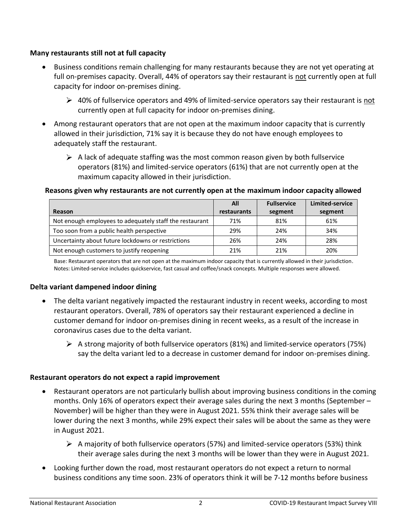## **Many restaurants still not at full capacity**

- Business conditions remain challenging for many restaurants because they are not yet operating at full on-premises capacity. Overall, 44% of operators say their restaurant is not currently open at full capacity for indoor on-premises dining.
	- $\geq 40\%$  of fullservice operators and 49% of limited-service operators say their restaurant is not currently open at full capacity for indoor on-premises dining.
- Among restaurant operators that are not open at the maximum indoor capacity that is currently allowed in their jurisdiction, 71% say it is because they do not have enough employees to adequately staff the restaurant.
	- $\triangleright$  A lack of adequate staffing was the most common reason given by both fullservice operators (81%) and limited-service operators (61%) that are not currently open at the maximum capacity allowed in their jurisdiction.

## **Reasons given why restaurants are not currently open at the maximum indoor capacity allowed**

|                                                         | All         | <b>Fullservice</b> | Limited-service |
|---------------------------------------------------------|-------------|--------------------|-----------------|
| Reason                                                  | restaurants | segment            | segment         |
| Not enough employees to adequately staff the restaurant | 71%         | 81%                | 61%             |
| Too soon from a public health perspective               | 29%         | 24%                | 34%             |
| Uncertainty about future lockdowns or restrictions      | 26%         | 24%                | 28%             |
| Not enough customers to justify reopening               | 21%         | 21%                | 20%             |

Base: Restaurant operators that are not open at the maximum indoor capacity that is currently allowed in their jurisdiction. Notes: Limited-service includes quickservice, fast casual and coffee/snack concepts. Multiple responses were allowed.

## **Delta variant dampened indoor dining**

- The delta variant negatively impacted the restaurant industry in recent weeks, according to most restaurant operators. Overall, 78% of operators say their restaurant experienced a decline in customer demand for indoor on-premises dining in recent weeks, as a result of the increase in coronavirus cases due to the delta variant.
	- $\triangleright$  A strong majority of both fullservice operators (81%) and limited-service operators (75%) say the delta variant led to a decrease in customer demand for indoor on-premises dining.

### **Restaurant operators do not expect a rapid improvement**

- Restaurant operators are not particularly bullish about improving business conditions in the coming months. Only 16% of operators expect their average sales during the next 3 months (September – November) will be higher than they were in August 2021. 55% think their average sales will be lower during the next 3 months, while 29% expect their sales will be about the same as they were in August 2021.
	- $\triangleright$  A majority of both fullservice operators (57%) and limited-service operators (53%) think their average sales during the next 3 months will be lower than they were in August 2021.
- Looking further down the road, most restaurant operators do not expect a return to normal business conditions any time soon. 23% of operators think it will be 7-12 months before business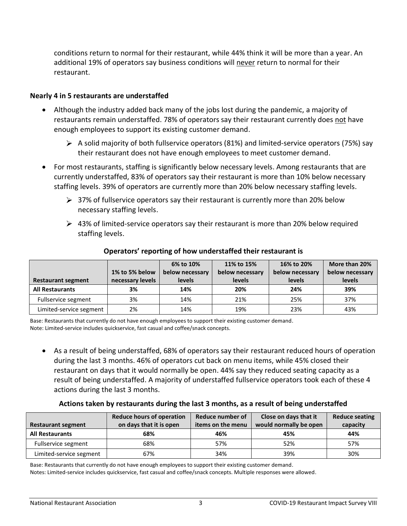conditions return to normal for their restaurant, while 44% think it will be more than a year. An additional 19% of operators say business conditions will never return to normal for their restaurant.

#### **Nearly 4 in 5 restaurants are understaffed**

- Although the industry added back many of the jobs lost during the pandemic, a majority of restaurants remain understaffed. 78% of operators say their restaurant currently does not have enough employees to support its existing customer demand.
	- $\triangleright$  A solid majority of both fullservice operators (81%) and limited-service operators (75%) say their restaurant does not have enough employees to meet customer demand.
- For most restaurants, staffing is significantly below necessary levels. Among restaurants that are currently understaffed, 83% of operators say their restaurant is more than 10% below necessary staffing levels. 39% of operators are currently more than 20% below necessary staffing levels.
	- $\geq$  37% of fullservice operators say their restaurant is currently more than 20% below necessary staffing levels.
	- $\triangleright$  43% of limited-service operators say their restaurant is more than 20% below required staffing levels.

| <b>Restaurant segment</b> | 1% to 5% below<br>necessary levels | 6% to 10%<br>below necessary<br><b>levels</b> | 11% to 15%<br>below necessary<br><b>levels</b> | 16% to 20%<br>below necessary<br><b>levels</b> | More than 20%<br>below necessary<br><b>levels</b> |
|---------------------------|------------------------------------|-----------------------------------------------|------------------------------------------------|------------------------------------------------|---------------------------------------------------|
| <b>All Restaurants</b>    | 3%                                 | 14%                                           | 20%                                            | 24%                                            | 39%                                               |
| Fullservice segment       | 3%                                 | 14%                                           | 21%                                            | 25%                                            | 37%                                               |
| Limited-service segment   | 2%                                 | 14%                                           | 19%                                            | 23%                                            | 43%                                               |

#### **Operators' reporting of how understaffed their restaurant is**

Base: Restaurants that currently do not have enough employees to support their existing customer demand. Note: Limited-service includes quickservice, fast casual and coffee/snack concepts.

• As a result of being understaffed, 68% of operators say their restaurant reduced hours of operation during the last 3 months. 46% of operators cut back on menu items, while 45% closed their restaurant on days that it would normally be open. 44% say they reduced seating capacity as a result of being understaffed. A majority of understaffed fullservice operators took each of these 4 actions during the last 3 months.

#### **Actions taken by restaurants during the last 3 months, as a result of being understaffed**

| <b>Restaurant segment</b> | <b>Reduce hours of operation</b><br>on days that it is open | Reduce number of<br>items on the menu | Close on days that it<br>would normally be open | <b>Reduce seating</b><br>capacity |
|---------------------------|-------------------------------------------------------------|---------------------------------------|-------------------------------------------------|-----------------------------------|
| <b>All Restaurants</b>    | 68%                                                         | 46%                                   | 45%                                             | 44%                               |
| Fullservice segment       | 68%                                                         | 57%                                   | 52%                                             | 57%                               |
| Limited-service segment   | 67%                                                         | 34%                                   | 39%                                             | 30%                               |

Base: Restaurants that currently do not have enough employees to support their existing customer demand.

Notes: Limited-service includes quickservice, fast casual and coffee/snack concepts. Multiple responses were allowed.